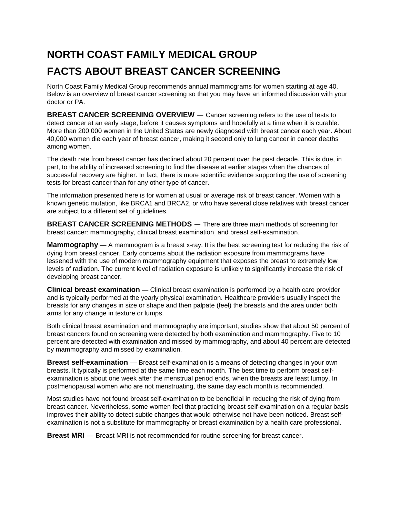## **NORTH COAST FAMILY MEDICAL GROUP FACTS ABOUT BREAST CANCER SCREENING**

North Coast Family Medical Group recommends annual mammograms for women starting at age 40. Below is an overview of breast cancer screening so that you may have an informed discussion with your doctor or PA.

**BREAST CANCER SCREENING OVERVIEW** — Cancer screening refers to the use of tests to detect cancer at an early stage, before it causes symptoms and hopefully at a time when it is curable. More than 200,000 women in the United States are newly diagnosed with breast cancer each year. About 40,000 women die each year of breast cancer, making it second only to lung cancer in cancer deaths among women.

The death rate from breast cancer has declined about 20 percent over the past decade. This is due, in part, to the ability of increased screening to find the disease at earlier stages when the chances of successful recovery are higher. In fact, there is more scientific evidence supporting the use of screening tests for breast cancer than for any other type of cancer.

The information presented here is for women at usual or average risk of breast cancer. Women with a known genetic mutation, like BRCA1 and BRCA2, or who have several close relatives with breast cancer are subject to a different set of guidelines.

**BREAST CANCER SCREENING METHODS** — There are three main methods of screening for breast cancer: mammography, clinical breast examination, and breast self-examination.

**Mammography** — A mammogram is a breast x-ray. It is the best screening test for reducing the risk of dying from breast cancer. Early concerns about the radiation exposure from mammograms have lessened with the use of modern mammography equipment that exposes the breast to extremely low levels of radiation. The current level of radiation exposure is unlikely to significantly increase the risk of developing breast cancer.

**Clinical breast examination** — Clinical breast examination is performed by a health care provider and is typically performed at the yearly physical examination. Healthcare providers usually inspect the breasts for any changes in size or shape and then palpate (feel) the breasts and the area under both arms for any change in texture or lumps.

Both clinical breast examination and mammography are important; studies show that about 50 percent of breast cancers found on screening were detected by both examination and mammography. Five to 10 percent are detected with examination and missed by mammography, and about 40 percent are detected by mammography and missed by examination.

**Breast self-examination** — Breast self-examination is a means of detecting changes in your own breasts. It typically is performed at the same time each month. The best time to perform breast selfexamination is about one week after the menstrual period ends, when the breasts are least lumpy. In postmenopausal women who are not menstruating, the same day each month is recommended.

Most studies have not found breast self-examination to be beneficial in reducing the risk of dying from breast cancer. Nevertheless, some women feel that practicing breast self-examination on a regular basis improves their ability to detect subtle changes that would otherwise not have been noticed. Breast selfexamination is not a substitute for mammography or breast examination by a health care professional.

**Breast MRI** — Breast MRI is not recommended for routine screening for breast cancer.